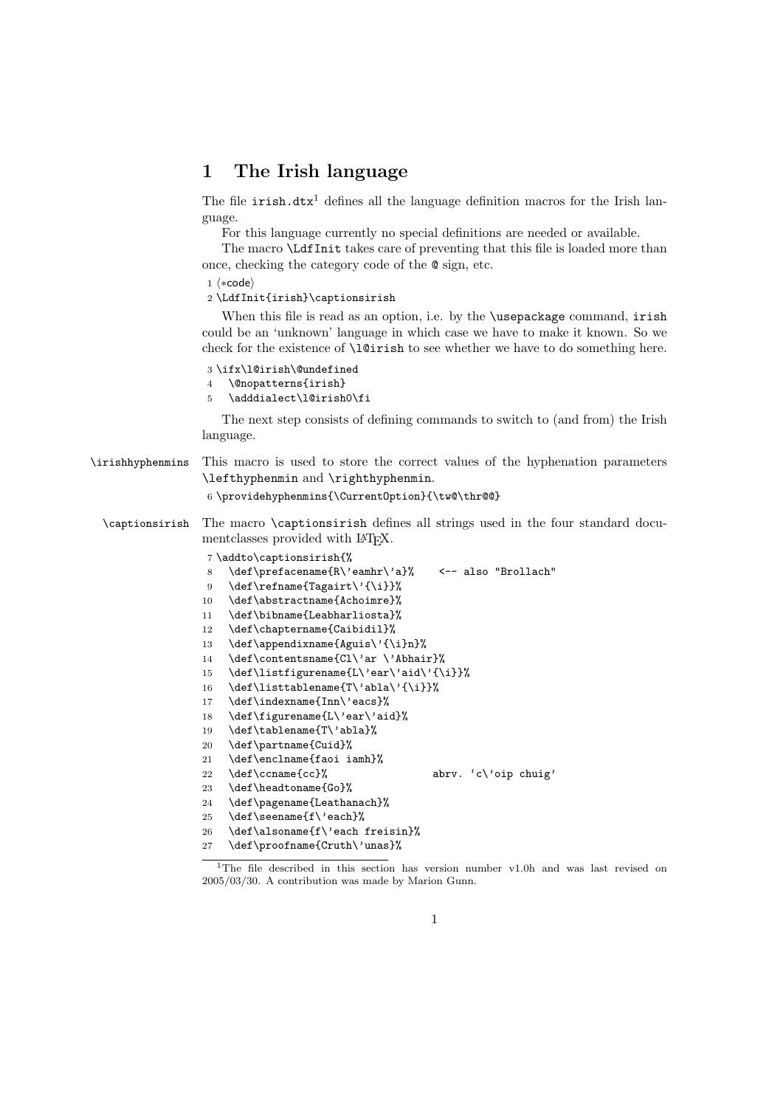## 1 The Irish language

The file  $irish.txt<sup>1</sup>$  defines all the language definition macros for the Irish language.

For this language currently no special definitions are needed or available.

The macro \LdfInit takes care of preventing that this file is loaded more than once, checking the category code of the @ sign, etc.

1  $\langle *code \rangle$ 

2 \LdfInit{irish}\captionsirish

When this file is read as an option, i.e. by the **\usepackage** command, irish could be an 'unknown' language in which case we have to make it known. So we check for the existence of  $\langle$ 1@irish to see whether we have to do something here.

- 3 \ifx\l@irish\@undefined
- 4 \@nopatterns{irish}
- 5 \adddialect\l@irish0\fi

The next step consists of defining commands to switch to (and from) the Irish language.

| \irishhyphenmins | This macro is used to store the correct values of the hyphenation parameters<br>\lefthyphenmin and \righthyphenmin.<br>6 \providehyphenmins{\Current0ption}{\tw@\thr@@}                                                                                                                                                                                                                                                                                                                                                                                                |
|------------------|------------------------------------------------------------------------------------------------------------------------------------------------------------------------------------------------------------------------------------------------------------------------------------------------------------------------------------------------------------------------------------------------------------------------------------------------------------------------------------------------------------------------------------------------------------------------|
| \captionsirish   | The macro <b>\captionsirish</b> defines all strings used in the four standard docu-<br>ment classes provided with L <sup>AT</sup> FX.                                                                                                                                                                                                                                                                                                                                                                                                                                  |
|                  | 7\addto\captionsirish{%<br>\def\prefacename{R\'eamhr\'a}% <-- also "Brollach"<br>8<br>\def\refname{Tagairt\'{\i}}%<br>9<br>\def\abstractname{Achoimre}%<br>10<br>\def\bibname{Leabharliosta}%<br>11<br>\def\chaptername{Caibidil}%<br>12<br>\def\appendixname{Aguis\'{\i}n}%<br>13<br>\def\contentsname{Cl\'ar\'Abhair}%<br>14<br>\def\listfigurename{L\'ear\'aid\'{\i}}%<br>15<br>\def\listtablename{T\'abla\'{\i}}%<br>16<br>\def\indexname{Inn\'eacs}%<br>17<br>\def\figurename{L\'ear\'aid}%<br>18<br>\def\tablename{T\'abla}%<br>19<br>\def\partname{Cuid}%<br>20 |
|                  | \def\enclname{faoi iamh}%<br>21<br>\def\ccname{cc}%<br>abrv. $c\$ {op chuig'}<br>22<br>\def\headtoname{Go}%<br>23<br>\def\pagename{Leathanach}%<br>24<br>\def\seename{f\'each}%<br>25<br>\def\alsoname{f\'each freisin}%<br>26                                                                                                                                                                                                                                                                                                                                         |

- 27 \def\proofname{Cruth\'unas}%
- 

<sup>&</sup>lt;sup>1</sup>The file described in this section has version number v1.0h and was last revised on 2005/03/30. A contribution was made by Marion Gunn.